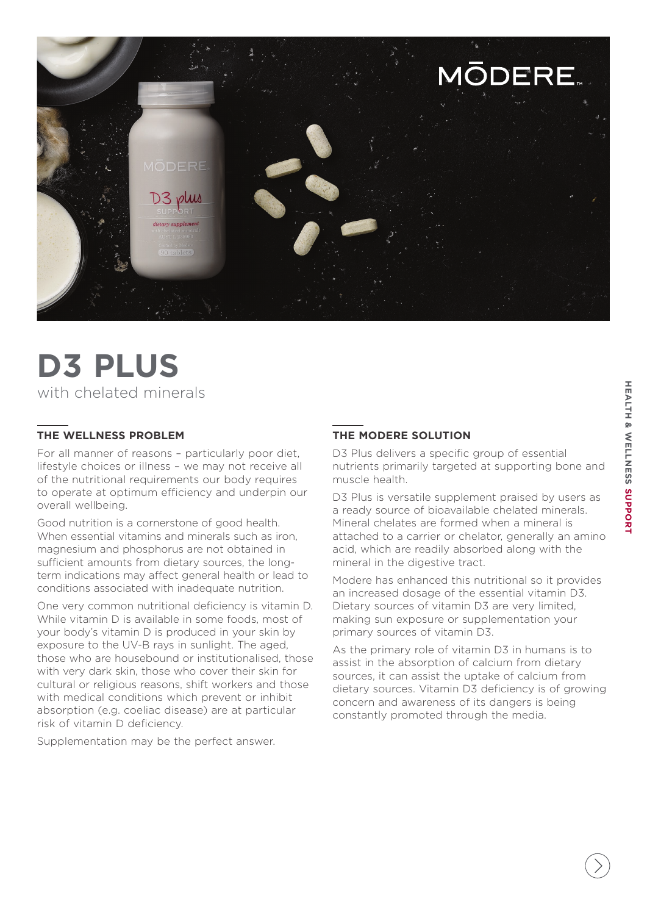

# **D3 PLUS**

with chelated minerals

## **THE WELLNESS PROBLEM**

For all manner of reasons – particularly poor diet, lifestyle choices or illness – we may not receive all of the nutritional requirements our body requires to operate at optimum efficiency and underpin our overall wellbeing.

Good nutrition is a cornerstone of good health. When essential vitamins and minerals such as iron, magnesium and phosphorus are not obtained in sufficient amounts from dietary sources, the longterm indications may affect general health or lead to conditions associated with inadequate nutrition.

One very common nutritional deficiency is vitamin D. While vitamin D is available in some foods, most of your body's vitamin D is produced in your skin by exposure to the UV-B rays in sunlight. The aged, those who are housebound or institutionalised, those with very dark skin, those who cover their skin for cultural or religious reasons, shift workers and those with medical conditions which prevent or inhibit absorption (e.g. coeliac disease) are at particular risk of vitamin D deficiency.

Supplementation may be the perfect answer.

## **THE MODERE SOLUTION**

D3 Plus delivers a specific group of essential nutrients primarily targeted at supporting bone and muscle health.

D3 Plus is versatile supplement praised by users as a ready source of bioavailable chelated minerals. Mineral chelates are formed when a mineral is attached to a carrier or chelator, generally an amino acid, which are readily absorbed along with the mineral in the digestive tract.

Modere has enhanced this nutritional so it provides an increased dosage of the essential vitamin D3. Dietary sources of vitamin D3 are very limited, making sun exposure or supplementation your primary sources of vitamin D3.

As the primary role of vitamin D3 in humans is to assist in the absorption of calcium from dietary sources, it can assist the uptake of calcium from dietary sources. Vitamin D3 deficiency is of growing concern and awareness of its dangers is being constantly promoted through the media.